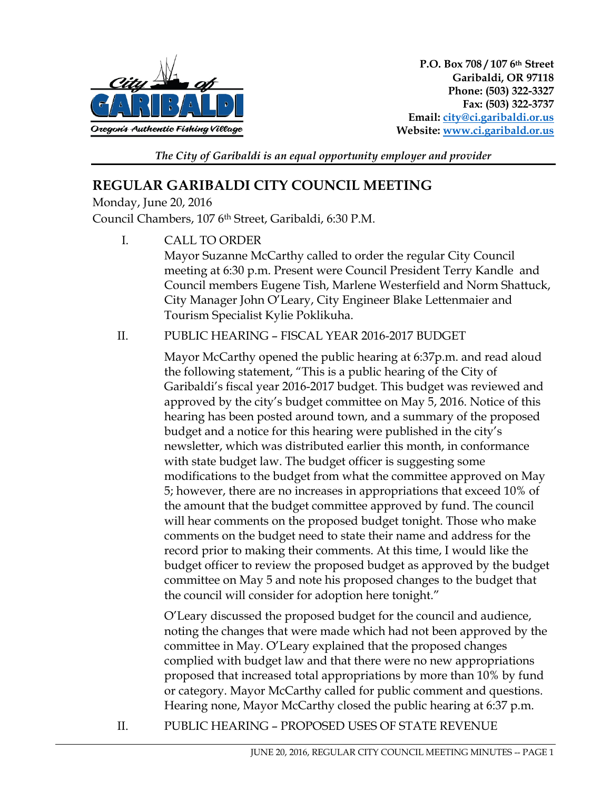

*The City of Garibaldi is an equal opportunity employer and provider* 

# **REGULAR GARIBALDI CITY COUNCIL MEETING**

Monday, June 20, 2016 Council Chambers, 107 6th Street, Garibaldi, 6:30 P.M.

> I. CALL TO ORDER Mayor Suzanne McCarthy called to order the regular City Council meeting at 6:30 p.m. Present were Council President Terry Kandle and Council members Eugene Tish, Marlene Westerfield and Norm Shattuck, City Manager John O'Leary, City Engineer Blake Lettenmaier and Tourism Specialist Kylie Poklikuha.

### II. PUBLIC HEARING – FISCAL YEAR 2016-2017 BUDGET

Mayor McCarthy opened the public hearing at 6:37p.m. and read aloud the following statement, "This is a public hearing of the City of Garibaldi's fiscal year 2016-2017 budget. This budget was reviewed and approved by the city's budget committee on May 5, 2016. Notice of this hearing has been posted around town, and a summary of the proposed budget and a notice for this hearing were published in the city's newsletter, which was distributed earlier this month, in conformance with state budget law. The budget officer is suggesting some modifications to the budget from what the committee approved on May 5; however, there are no increases in appropriations that exceed 10% of the amount that the budget committee approved by fund. The council will hear comments on the proposed budget tonight. Those who make comments on the budget need to state their name and address for the record prior to making their comments. At this time, I would like the budget officer to review the proposed budget as approved by the budget committee on May 5 and note his proposed changes to the budget that the council will consider for adoption here tonight."

O'Leary discussed the proposed budget for the council and audience, noting the changes that were made which had not been approved by the committee in May. O'Leary explained that the proposed changes complied with budget law and that there were no new appropriations proposed that increased total appropriations by more than 10% by fund or category. Mayor McCarthy called for public comment and questions. Hearing none, Mayor McCarthy closed the public hearing at 6:37 p.m.

II. PUBLIC HEARING – PROPOSED USES OF STATE REVENUE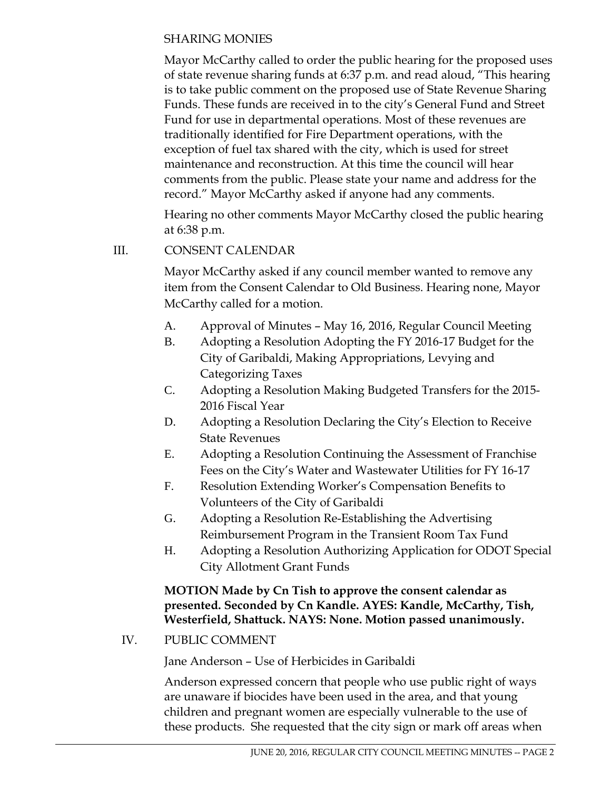### SHARING MONIES

Mayor McCarthy called to order the public hearing for the proposed uses of state revenue sharing funds at 6:37 p.m. and read aloud, "This hearing is to take public comment on the proposed use of State Revenue Sharing Funds. These funds are received in to the city's General Fund and Street Fund for use in departmental operations. Most of these revenues are traditionally identified for Fire Department operations, with the exception of fuel tax shared with the city, which is used for street maintenance and reconstruction. At this time the council will hear comments from the public. Please state your name and address for the record." Mayor McCarthy asked if anyone had any comments.

Hearing no other comments Mayor McCarthy closed the public hearing at 6:38 p.m.

## III. CONSENT CALENDAR

Mayor McCarthy asked if any council member wanted to remove any item from the Consent Calendar to Old Business. Hearing none, Mayor McCarthy called for a motion.

- A. Approval of Minutes May 16, 2016, Regular Council Meeting
- B. Adopting a Resolution Adopting the FY 2016-17 Budget for the City of Garibaldi, Making Appropriations, Levying and Categorizing Taxes
- C. Adopting a Resolution Making Budgeted Transfers for the 2015- 2016 Fiscal Year
- D. Adopting a Resolution Declaring the City's Election to Receive State Revenues
- E. Adopting a Resolution Continuing the Assessment of Franchise Fees on the City's Water and Wastewater Utilities for FY 16-17
- F. Resolution Extending Worker's Compensation Benefits to Volunteers of the City of Garibaldi
- G. Adopting a Resolution Re-Establishing the Advertising Reimbursement Program in the Transient Room Tax Fund
- H. Adopting a Resolution Authorizing Application for ODOT Special City Allotment Grant Funds

**MOTION Made by Cn Tish to approve the consent calendar as presented. Seconded by Cn Kandle. AYES: Kandle, McCarthy, Tish, Westerfield, Shattuck. NAYS: None. Motion passed unanimously.** 

IV. PUBLIC COMMENT

Jane Anderson – Use of Herbicides in Garibaldi

Anderson expressed concern that people who use public right of ways are unaware if biocides have been used in the area, and that young children and pregnant women are especially vulnerable to the use of these products. She requested that the city sign or mark off areas when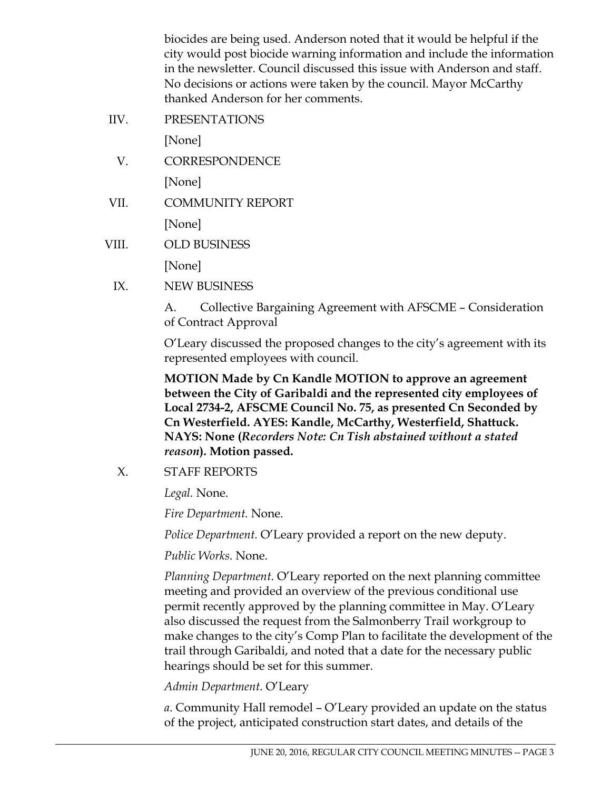biocides are being used. Anderson noted that it would be helpful if the city would post biocide warning information and include the information in the newsletter. Council discussed this issue with Anderson and staff. No decisions or actions were taken by the council. Mayor McCarthy thanked Anderson for her comments.

IIV. PRESENTATIONS

[None]

- V. CORRESPONDENCE [None]
- VII. COMMUNITY REPORT [None]
- VIII. OLD BUSINESS [None]
	- IX. NEW BUSINESS

A. Collective Bargaining Agreement with AFSCME – Consideration of Contract Approval

O'Leary discussed the proposed changes to the city's agreement with its represented employees with council.

**MOTION Made by Cn Kandle MOTION to approve an agreement between the City of Garibaldi and the represented city employees of Local 2734-2, AFSCME Council No. 75, as presented Cn Seconded by Cn Westerfield. AYES: Kandle, McCarthy, Westerfield, Shattuck. NAYS: None (***Recorders Note: Cn Tish abstained without a stated reason***). Motion passed.** 

X. STAFF REPORTS

*Legal.* None.

*Fire Department.* None.

*Police Department.* O'Leary provided a report on the new deputy.

*Public Works*. None.

*Planning Department*. O'Leary reported on the next planning committee meeting and provided an overview of the previous conditional use permit recently approved by the planning committee in May. O'Leary also discussed the request from the Salmonberry Trail workgroup to make changes to the city's Comp Plan to facilitate the development of the trail through Garibaldi, and noted that a date for the necessary public hearings should be set for this summer.

*Admin Department*. O'Leary

*a*. Community Hall remodel – O'Leary provided an update on the status of the project, anticipated construction start dates, and details of the